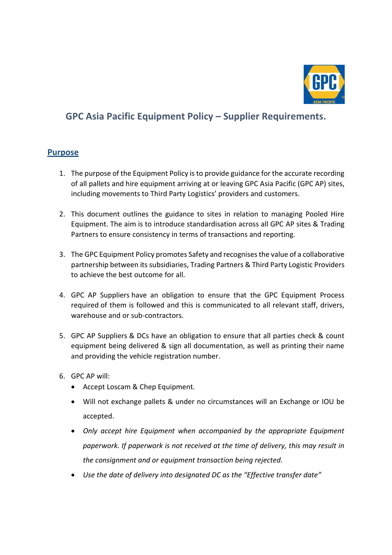

## **GPC Asia Pacific Equipment Policy – Supplier Requirements.**

## **Purpose**

- 1. The purpose of the Equipment Policy is to provide guidance for the accurate recording of all pallets and hire equipment arriving at or leaving GPC Asia Pacific (GPC AP) sites, including movements to Third Party Logistics' providers and customers.
- 2. This document outlines the guidance to sites in relation to managing Pooled Hire Equipment. The aim is to introduce standardisation across all GPC AP sites & Trading Partners to ensure consistency in terms of transactions and reporting.
- 3. The GPC Equipment Policy promotes Safety and recognises the value of a collaborative partnership between its subsidiaries, Trading Partners & Third Party Logistic Providers to achieve the best outcome for all.
- 4. GPC AP Suppliers have an obligation to ensure that the GPC Equipment Process required of them is followed and this is communicated to all relevant staff, drivers, warehouse and or sub-contractors.
- 5. GPC AP Suppliers & DCs have an obligation to ensure that all parties check & count equipment being delivered & sign all documentation, as well as printing their name and providing the vehicle registration number.
- 6. GPC AP will:
	- Accept Loscam & Chep Equipment*.*
	- Will not exchange pallets & under no circumstances will an Exchange or IOU be accepted.
	- *Only accept hire Equipment when accompanied by the appropriate Equipment paperwork. If paperwork is not received at the time of delivery, this may result in the consignment and or equipment transaction being rejected.*
	- *Use the date of delivery into designated DC as the "Effective transfer date"*